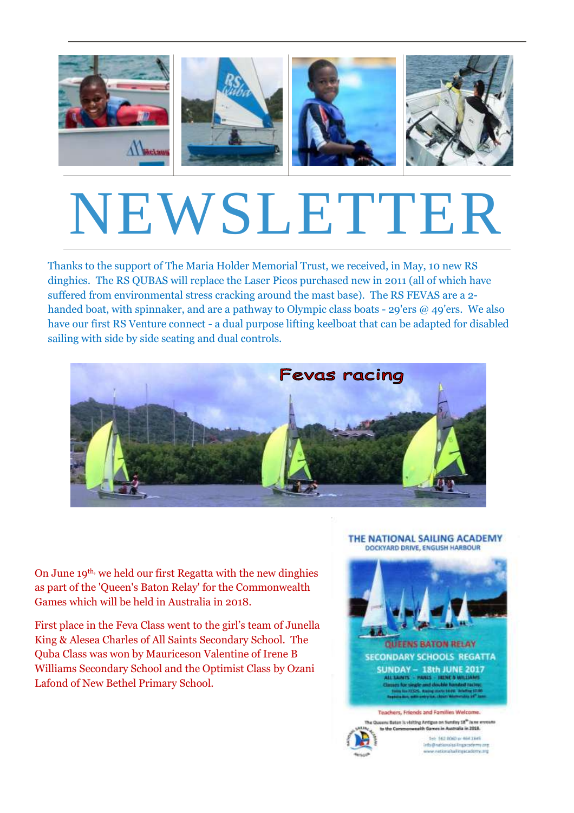

# NEWSLETTER

Thanks to the support of The Maria Holder Memorial Trust, we received, in May, 10 new RS dinghies. The RS QUBAS will replace the Laser Picos purchased new in 2011 (all of which have suffered from environmental stress cracking around the mast base). The RS FEVAS are a 2 handed boat, with spinnaker, and are a pathway to Olympic class boats - 29'ers @ 49'ers. We also have our first RS Venture connect - a dual purpose lifting keelboat that can be adapted for disabled sailing with side by side seating and dual controls.



On June 19th, we held our first Regatta with the new dinghies as part of the 'Queen's Baton Relay' for the Commonwealth Games which will be held in Australia in 2018.

First place in the Feva Class went to the girl's team of Junella King & Alesea Charles of All Saints Secondary School. The Quba Class was won by Mauriceson Valentine of Irene B Williams Secondary School and the Optimist Class by Ozani Lafond of New Bethel Primary School.

### THE NATIONAL SAILING ACADEMY DOCKYARD DRIVE, ENGLISH HARBOUR





Tel: 542 9060 or 464 2045 Info@sationalsailingscody www.nationalsalfingacademy.org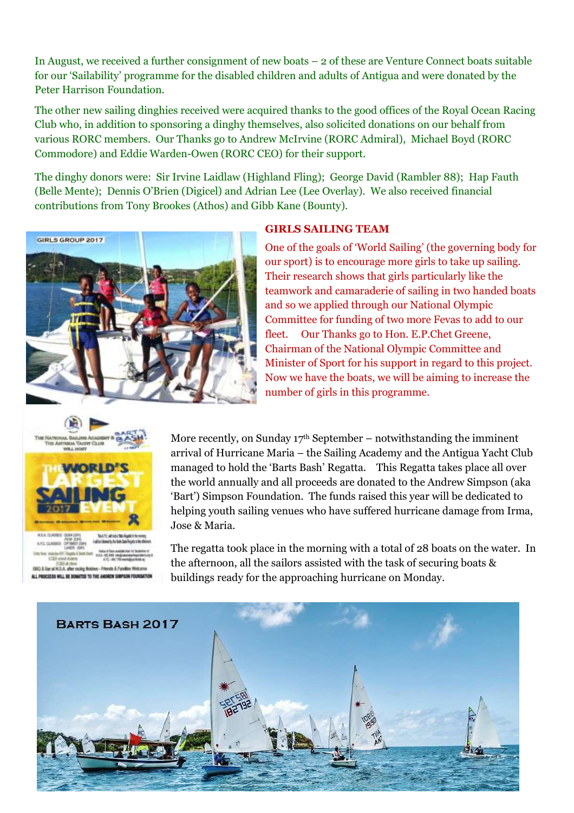In August, we received a further consignment of new boats – 2 of these are Venture Connect boats suitable for our 'Sailability' programme for the disabled children and adults of Antigua and were donated by the Peter Harrison Foundation.

The other new sailing dinghies received were acquired thanks to the good offices of the Royal Ocean Racing Club who, in addition to sponsoring a dinghy themselves, also solicited donations on our behalf from various RORC members. Our Thanks go to Andrew McIrvine (RORC Admiral), Michael Boyd (RORC Commodore) and Eddie Warden-Owen (RORC CEO) for their support.

The dinghy donors were: Sir Irvine Laidlaw (Highland Fling); George David (Rambler 88); Hap Fauth (Belle Mente); Dennis O'Brien (Digicel) and Adrian Lee (Lee Overlay). We also received financial contributions from Tony Brookes (Athos) and Gibb Kane (Bounty).



## **GIRLS SAILING TEAM**

One of the goals of 'World Sailing' (the governing body for our sport) is to encourage more girls to take up sailing. Their research shows that girls particularly like the teamwork and camaraderie of sailing in two handed boats and so we applied through our National Olympic Committee for funding of two more Fevas to add to our fleet. Our Thanks go to Hon. E.P.Chet Greene, Chairman of the National Olympic Committee and Minister of Sport for his support in regard to this project. Now we have the boats, we will be aiming to increase the number of girls in this programme.



More recently, on Sunday  $17<sup>th</sup>$  September – notwithstanding the imminent arrival of Hurricane Maria – the Sailing Academy and the Antigua Yacht Club managed to hold the 'Barts Bash' Regatta. This Regatta takes place all over the world annually and all proceeds are donated to the Andrew Simpson (aka 'Bart') Simpson Foundation. The funds raised this year will be dedicated to helping youth sailing venues who have suffered hurricane damage from Irma, Jose & Maria.

The regatta took place in the morning with a total of 28 boats on the water. In the afternoon, all the sailors assisted with the task of securing boats & buildings ready for the approaching hurricane on Monday.

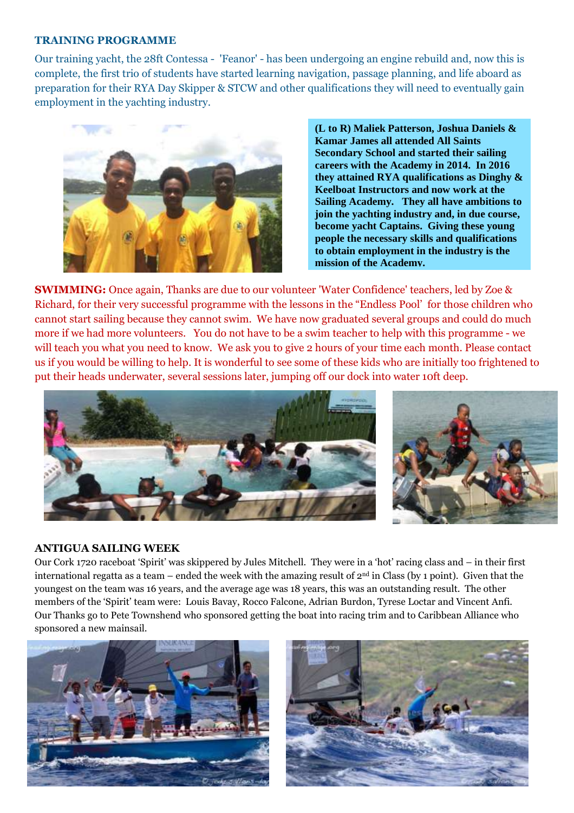### **TRAINING PROGRAMME**

Our training yacht, the 28ft Contessa - 'Feanor' - has been undergoing an engine rebuild and, now this is complete, the first trio of students have started learning navigation, passage planning, and life aboard as preparation for their RYA Day Skipper & STCW and other qualifications they will need to eventually gain employment in the yachting industry.



**(L to R) Maliek Patterson, Joshua Daniels & Kamar James all attended All Saints Secondary School and started their sailing careers with the Academy in 2014. In 2016 they attained RYA qualifications as Dinghy & Keelboat Instructors and now work at the Sailing Academy. They all have ambitions to join the yachting industry and, in due course, become yacht Captains. Giving these young people the necessary skills and qualifications to obtain employment in the industry is the mission of the Academy.**

**SWIMMING:** Once again, Thanks are due to our volunteer 'Water Confidence' teachers, led by Zoe & Richard, for their very successful programme with the lessons in the "Endless Pool' for those children who cannot start sailing because they cannot swim. We have now graduated several groups and could do much more if we had more volunteers. You do not have to be a swim teacher to help with this programme - we will teach you what you need to know. We ask you to give 2 hours of your time each month. Please contact us if you would be willing to help. It is wonderful to see some of these kids who are initially too frightened to put their heads underwater, several sessions later, jumping off our dock into water 10ft deep.





# **ANTIGUA SAILING WEEK**

Our Cork 1720 raceboat 'Spirit' was skippered by Jules Mitchell. They were in a 'hot' racing class and – in their first international regatta as a team – ended the week with the amazing result of  $2<sup>nd</sup>$  in Class (by 1 point). Given that the youngest on the team was 16 years, and the average age was 18 years, this was an outstanding result. The other members of the 'Spirit' team were: Louis Bavay, Rocco Falcone, Adrian Burdon, Tyrese Loctar and Vincent Anfi. Our Thanks go to Pete Townshend who sponsored getting the boat into racing trim and to Caribbean Alliance who sponsored a new mainsail.